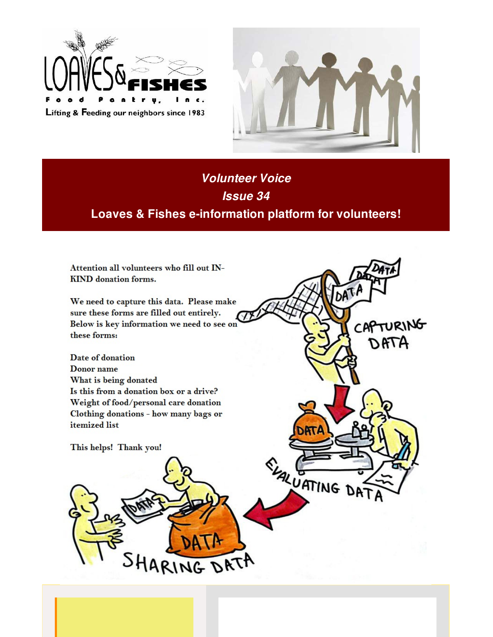



DATI

**DATA** 

EVALUATING DA-

CAPTURING

DATA

## **Volunteer Voice Issue 34** Loaves & Fishes e-information platform for volunteers!

Attention all volunteers who fill out IN-KIND donation forms.

We need to capture this data. Please make sure these forms are filled out entirely. Below is key information we need to see on these forms:

Date of donation Donor name What is being donated Is this from a donation box or a drive? Weight of food/personal care donation Clothing donations - how many bags or itemized list

HARING DATA

This helps! Thank you!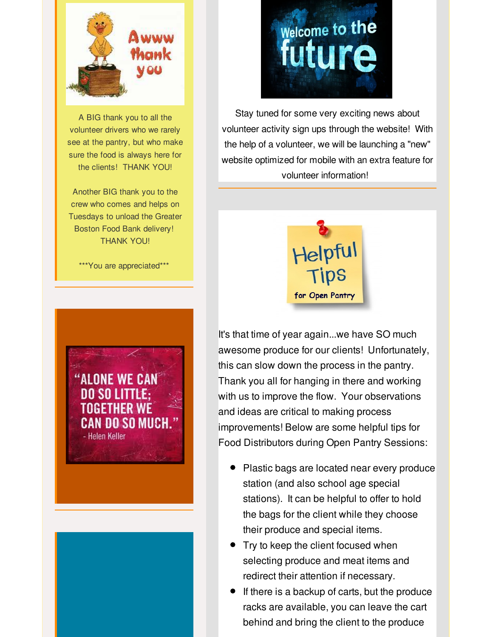

A BIG thank you to all the volunteer drivers who we rarely see at the pantry, but who make sure the food is always here for the clients! THANK YOU!

Another BIG thank you to the crew who comes and helps on Tuesdays to unload the Greater Boston Food Bank delivery! THANK YOU!

\*\*\*You are appreciated\*\*\*





Stay tuned for some very exciting news about volunteer activity sign ups through the website! With the help of a volunteer, we will be launching a "new" website optimized for mobile with an extra feature for volunteer information!



It's that time of year again...we have SO much awesome produce for our clients! Unfortunately, this can slow down the process in the pantry. Thank you all for hanging in there and working with us to improve the flow. Your observations and ideas are critical to making process improvements! Below are some helpful tips for Food Distributors during Open Pantry Sessions:

- Plastic bags are located near every produce station (and also school age special stations). It can be helpful to offer to hold the bags for the client while they choose their produce and special items.
- Try to keep the client focused when selecting produce and meat items and redirect their attention if necessary.
- If there is a backup of carts, but the produce racks are available, you can leave the cart behind and bring the client to the produce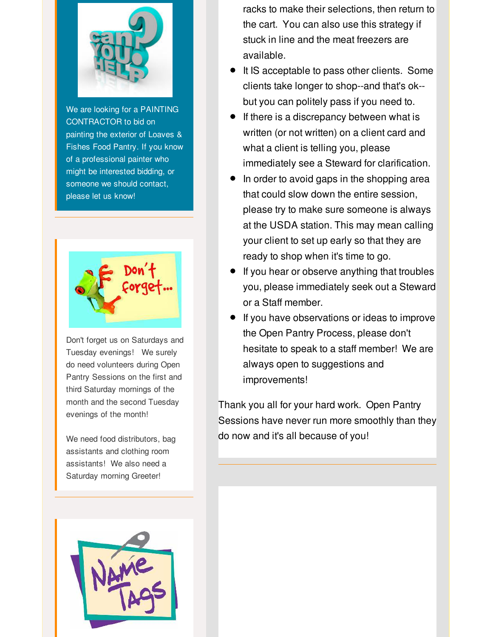

We are looking for a PAINTING CONTRACTOR to bid on painting the exterior of Loaves & Fishes Food Pantry. If you know of a professional painter who might be interested bidding, or someone we should contact, please let us know!



Don't forget us on Saturdays and Tuesday evenings! We surely do need volunteers during Open Pantry Sessions on the first and third Saturday mornings of the month and the second Tuesday evenings of the month!

We need food distributors, bag assistants and clothing room assistants! We also need a Saturday morning Greeter!



racks to make their selections, then return to the cart. You can also use this strategy if stuck in line and the meat freezers are available.

- It IS acceptable to pass other clients. Some clients take longer to shop--and that's ok- but you can politely pass if you need to.
- If there is a discrepancy between what is written (or not written) on a client card and what a client is telling you, please immediately see a Steward for clarification.
- In order to avoid gaps in the shopping area that could slow down the entire session, please try to make sure someone is always at the USDA station. This may mean calling your client to set up early so that they are ready to shop when it's time to go.
- **If you hear or observe anything that troubles** you, please immediately seek out a Steward or a Staff member.
- If you have observations or ideas to improve the Open Pantry Process, please don't hesitate to speak to a staff member! We are always open to suggestions and improvements!

Thank you all for your hard work. Open Pantry Sessions have never run more smoothly than they do now and it's all because of you!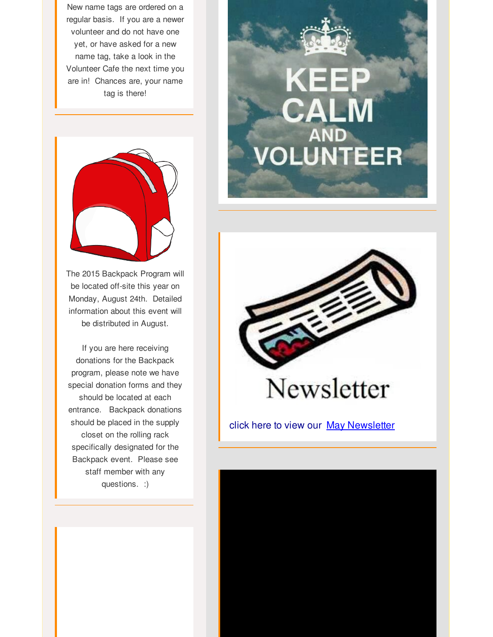New name tags are ordered on a regular basis. If you are a newer volunteer and do not have one yet, or have asked for a new name tag, take a look in the Volunteer Cafe the next time you are in! Chances are, your name tag is there!



The 2015 Backpack Program will be located off-site this year on Monday, August 24th. Detailed information about this event will be distributed in August.

If you are here receiving donations for the Backpack program, please note we have special donation forms and they should be located at each entrance. Backpack donations should be placed in the supply closet on the rolling rack specifically designated for the Backpack event. Please see staff member with any questions. :)



click here to view our [May Newsletter](http://r20.rs6.net/tn.jsp?f=001y1ltD-1ldJDzDiVwNHG-Es5HooYJqU2RTJRjSvwn_LiyjeQXwVNZuIw2L38OecCNKYClfOvpNa6tZsI2I_zfC0pKb9RbzNgin6J_WLfJTLZUzeoh-IPGf4ZSJbQLV8_L2FGNrjrJ3Xv71PMwUnKDZ0cIR0_eJ-CYIggzx9H6N8n3EZYTs7aQQqtzj3B2LagKGK57wosduuzAYDPQqAcNVZYLOhSgIkruC2lu0cshx1VDXy9DDWjOtw==&c=&ch=)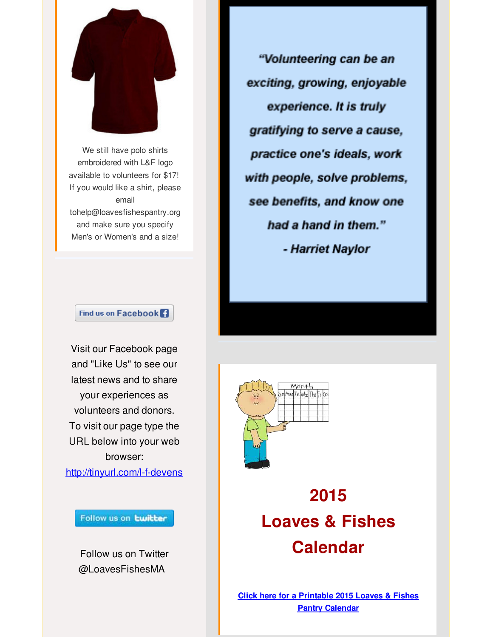

We still have polo shirts embroidered with L&F logo available to volunteers for \$17! If you would like a shirt, please email tohelp@loavesfishespantry.org and make sure you specify Men's or Women's and a size!

Find us on Facebook

Visit our Facebook page and "Like Us" to see our latest news and to share your experiences as volunteers and donors. To visit our page type the URL below into your web browser:

[http://tinyurl.com/l-f-devens](http://r20.rs6.net/tn.jsp?f=001y1ltD-1ldJDzDiVwNHG-Es5HooYJqU2RTJRjSvwn_LiyjeQXwVNZuNg_R23P05bdwkyLjoM14LkPiO2VEFzd-eURH1qlQu_lVih0CIHhk_ldlccwvK8iVSK2-AvQyXcz2qWBT6aefmdJo2I3NkVb1kPQQmhSr_P6iuRxALwovcYNspo0wEUnKw==&c=&ch=)

Follow us on **twitter** 

Follow us on Twitter @LoavesFishesMA

"Volunteering can be an exciting, growing, enjoyable experience. It is truly gratifying to serve a cause, practice one's ideals, work with people, solve problems, see benefits, and know one had a hand in them." - Harriet Naylor



## **2015 Loaves & Fishes Calendar**

**[Click here for a Printable 2015 Loaves & Fishes](http://r20.rs6.net/tn.jsp?f=001y1ltD-1ldJDzDiVwNHG-Es5HooYJqU2RTJRjSvwn_LiyjeQXwVNZuN_X796txZBzI1ggI06Ebv1N-p92rAQbIeRqD6V2UTi7tjoISx2YAr-IAWaNxMqe-UENBhcG-5J7Y2rF0kn_vOhjA4Oggc8InD2-XfSPIgefgv1EVK_DaZ8mRXG0C5aoEbr33rxnB_i6cS_ivuyip23YaX_BM_ByrluWuqz-5aDqC_8cDn2PBGKgHG6GFAa_NA==&c=&ch=) Pantry Calendar**